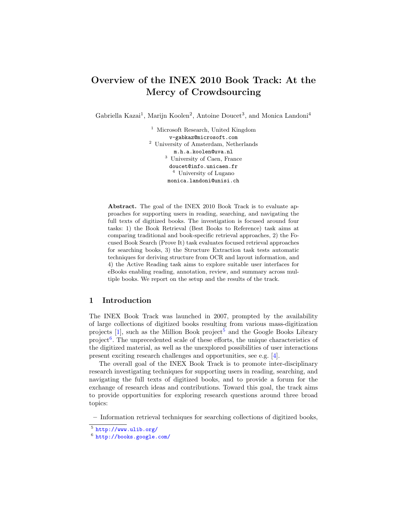# Overview of the INEX 2010 Book Track: At the Mercy of Crowdsourcing

Gabriella Kazai<sup>1</sup>, Marijn Koolen<sup>2</sup>, Antoine Doucet<sup>3</sup>, and Monica Landoni<sup>4</sup>

<sup>1</sup> Microsoft Research, United Kingdom v-gabkaz@microsoft.com <sup>2</sup> University of Amsterdam, Netherlands m.h.a.koolen@uva.nl <sup>3</sup> University of Caen, France doucet@info.unicaen.fr <sup>4</sup> University of Lugano monica.landoni@unisi.ch

Abstract. The goal of the INEX 2010 Book Track is to evaluate approaches for supporting users in reading, searching, and navigating the full texts of digitized books. The investigation is focused around four tasks: 1) the Book Retrieval (Best Books to Reference) task aims at comparing traditional and book-specific retrieval approaches, 2) the Focused Book Search (Prove It) task evaluates focused retrieval approaches for searching books, 3) the Structure Extraction task tests automatic techniques for deriving structure from OCR and layout information, and 4) the Active Reading task aims to explore suitable user interfaces for eBooks enabling reading, annotation, review, and summary across multiple books. We report on the setup and the results of the track.

## 1 Introduction

The INEX Book Track was launched in 2007, prompted by the availability of large collections of digitized books resulting from various mass-digitization projects  $[1]$ , such as the Million Book project<sup>[5](#page-0-0)</sup> and the Google Books Library project<sup>[6](#page-0-1)</sup>. The unprecedented scale of these efforts, the unique characteristics of the digitized material, as well as the unexplored possibilities of user interactions present exciting research challenges and opportunities, see e.g. [\[4\]](#page-10-1).

The overall goal of the INEX Book Track is to promote inter-disciplinary research investigating techniques for supporting users in reading, searching, and navigating the full texts of digitized books, and to provide a forum for the exchange of research ideas and contributions. Toward this goal, the track aims to provide opportunities for exploring research questions around three broad topics:

– Information retrieval techniques for searching collections of digitized books,

<span id="page-0-0"></span> $5$  <http://www.ulib.org/>

<span id="page-0-1"></span><sup>6</sup> <http://books.google.com/>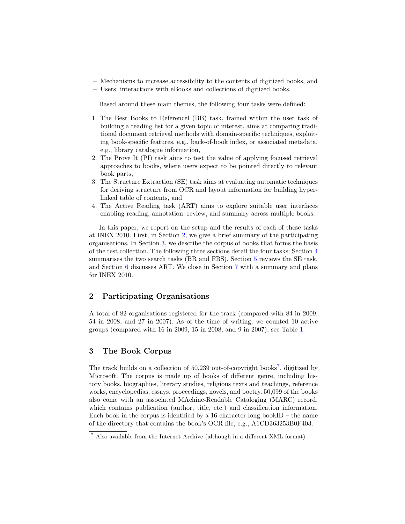- Mechanisms to increase accessibility to the contents of digitized books, and
- Users' interactions with eBooks and collections of digitized books.

Based around these main themes, the following four tasks were defined:

- 1. The Best Books to Referencel (BB) task, framed within the user task of building a reading list for a given topic of interest, aims at comparing traditional document retrieval methods with domain-specific techniques, exploiting book-specific features, e.g., back-of-book index, or associated metadata, e.g., library catalogue information,
- 2. The Prove It (PI) task aims to test the value of applying focused retrieval approaches to books, where users expect to be pointed directly to relevant book parts,
- 3. The Structure Extraction (SE) task aims at evaluating automatic techniques for deriving structure from OCR and layout information for building hyperlinked table of contents, and
- 4. The Active Reading task (ART) aims to explore suitable user interfaces enabling reading, annotation, review, and summary across multiple books.

In this paper, we report on the setup and the results of each of these tasks at INEX 2010. First, in Section [2,](#page-1-0) we give a brief summary of the participating organisations. In Section [3,](#page-1-1) we describe the corpus of books that forms the basis of the test collection. The following three sections detail the four tasks: Section [4](#page-3-0) summarises the two search tasks (BR and FBS), Section [5](#page-7-0) reviews the SE task, and Section [6](#page-8-0) discusses ART. We close in Section [7](#page-9-0) with a summary and plans for INEX 2010.

## <span id="page-1-0"></span>2 Participating Organisations

A total of 82 organisations registered for the track (compared with 84 in 2009, 54 in 2008, and 27 in 2007). As of the time of writing, we counted 10 active groups (compared with 16 in 2009, 15 in 2008, and 9 in 2007), see Table [1.](#page-2-0)

## <span id="page-1-1"></span>3 The Book Corpus

The track builds on a collection of  $50,239$  out-of-copyright books<sup>[7](#page-1-2)</sup>, digitized by Microsoft. The corpus is made up of books of different genre, including history books, biographies, literary studies, religious texts and teachings, reference works, encyclopedias, essays, proceedings, novels, and poetry. 50,099 of the books also come with an associated MAchine-Readable Cataloging (MARC) record, which contains publication (author, title, etc.) and classification information. Each book in the corpus is identified by a  $16$  character long bookID – the name of the directory that contains the book's OCR file, e.g., A1CD363253B0F403.

<span id="page-1-2"></span><sup>7</sup> Also available from the Internet Archive (although in a different XML format)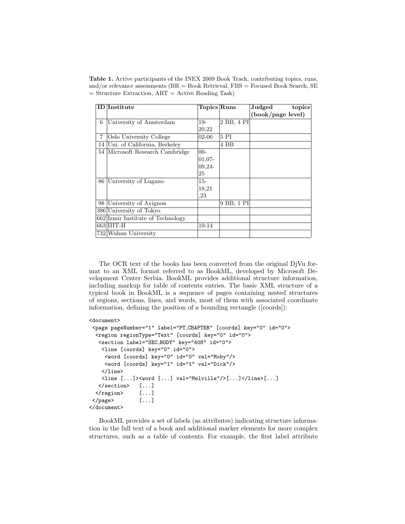<span id="page-2-0"></span>Table 1. Active participants of the INEX 2009 Book Track, contributing topics, runs, and/or relevance assessments ( $BR = Book$  Retrieval,  $FBS = Focused$  Book Search,  $SE$  $=$  Structure Extraction,  $ART = Active Reading Task)$ 

|      | <b>ID</b> Institute               | Topics Runs |            | Judged            | topics |
|------|-----------------------------------|-------------|------------|-------------------|--------|
|      |                                   |             |            | (book/page level) |        |
| 6    | University of Amsterdam           | $19-$       | 2 BB, 4 PI |                   |        |
|      |                                   | 20,22       |            |                   |        |
| 7    | Oslo University College           | $02 - 06$   | 5PI        |                   |        |
| 14   | Uni. of California, Berkeley      |             | 4 BB       |                   |        |
|      | 54 Microsoft Research Cambridge   | $00-$       |            |                   |        |
|      |                                   | $01,07-$    |            |                   |        |
|      |                                   | $09,24-$    |            |                   |        |
|      |                                   | 25          |            |                   |        |
| 86 I | University of Lugano              | $15-$       |            |                   |        |
|      |                                   | 18,21       |            |                   |        |
|      |                                   | .23         |            |                   |        |
|      | 98 University of Avignon          |             | 9 BB, 1 PI |                   |        |
|      | 386 University of Tokyo           |             |            |                   |        |
|      | 662 Izmir Institute of Technology |             |            |                   |        |
|      | 663 IIIT-H                        | $10 - 14$   |            |                   |        |
|      | 732 Wuhan University              |             |            |                   |        |

The OCR text of the books has been converted from the original DjVu format to an XML format referred to as BookML, developed by Microsoft Development Center Serbia. BookML provides additional structure information, including markup for table of contents entries. The basic XML structure of a typical book in BookML is a sequence of pages containing nested structures of regions, sections, lines, and words, most of them with associated coordinate information, defining the position of a bounding rectangle ([coords]):

```
<document>
<page pageNumber="1" label="PT CHAPTER" [coords] key="0" id="0">
  <region regionType="Text" [coords] key="0" id="0">
   <section label="SEC BODY" key="408" id="0">
   <line [coords] key="0" id="0">
    <word [coords] key="0" id="0" val="Moby"/>
    <word [coords] key="1" id="1" val="Dick"/>
   </line>
   <line [...]><word [...] val="Melville"/>[...]</line>[...]
   </section> [...]
  </region> [...]
</page> [...]
</document>
```
BookML provides a set of labels (as attributes) indicating structure information in the full text of a book and additional marker elements for more complex structures, such as a table of contents. For example, the first label attribute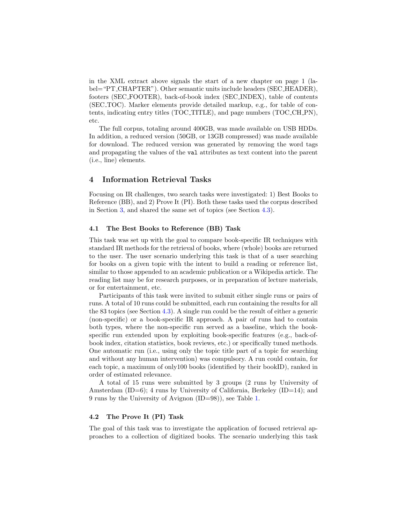in the XML extract above signals the start of a new chapter on page 1 (label="PT CHAPTER"). Other semantic units include headers (SEC HEADER), footers (SEC FOOTER), back-of-book index (SEC INDEX), table of contents (SEC TOC). Marker elements provide detailed markup, e.g., for table of contents, indicating entry titles (TOC TITLE), and page numbers (TOC CH PN), etc.

The full corpus, totaling around 400GB, was made available on USB HDDs. In addition, a reduced version (50GB, or 13GB compressed) was made available for download. The reduced version was generated by removing the word tags and propagating the values of the val attributes as text content into the parent (i.e., line) elements.

## <span id="page-3-0"></span>4 Information Retrieval Tasks

Focusing on IR challenges, two search tasks were investigated: 1) Best Books to Reference (BB), and 2) Prove It (PI). Both these tasks used the corpus described in Section [3,](#page-1-1) and shared the same set of topics (see Section [4.3\)](#page-4-0).

#### 4.1 The Best Books to Reference (BB) Task

This task was set up with the goal to compare book-specific IR techniques with standard IR methods for the retrieval of books, where (whole) books are returned to the user. The user scenario underlying this task is that of a user searching for books on a given topic with the intent to build a reading or reference list, similar to those appended to an academic publication or a Wikipedia article. The reading list may be for research purposes, or in preparation of lecture materials, or for entertainment, etc.

Participants of this task were invited to submit either single runs or pairs of runs. A total of 10 runs could be submitted, each run containing the results for all the 83 topics (see Section [4.3\)](#page-4-0). A single run could be the result of either a generic (non-specific) or a book-specific IR approach. A pair of runs had to contain both types, where the non-specific run served as a baseline, which the bookspecific run extended upon by exploiting book-specific features (e.g., back-ofbook index, citation statistics, book reviews, etc.) or specifically tuned methods. One automatic run (i.e., using only the topic title part of a topic for searching and without any human intervention) was compulsory. A run could contain, for each topic, a maximum of only100 books (identified by their bookID), ranked in order of estimated relevance.

A total of 15 runs were submitted by 3 groups (2 runs by University of Amsterdam (ID=6); 4 runs by University of California, Berkeley (ID=14); and 9 runs by the University of Avignon (ID=98)), see Table [1.](#page-2-0)

#### 4.2 The Prove It (PI) Task

The goal of this task was to investigate the application of focused retrieval approaches to a collection of digitized books. The scenario underlying this task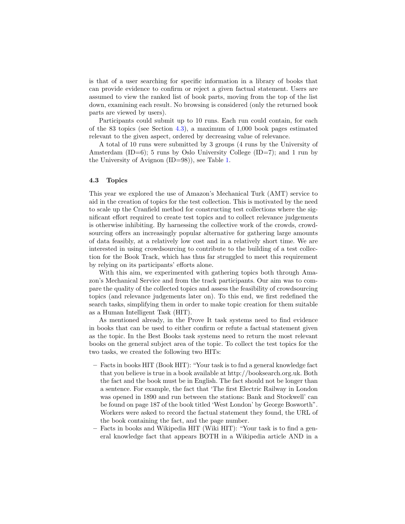is that of a user searching for specific information in a library of books that can provide evidence to confirm or reject a given factual statement. Users are assumed to view the ranked list of book parts, moving from the top of the list down, examining each result. No browsing is considered (only the returned book parts are viewed by users).

Participants could submit up to 10 runs. Each run could contain, for each of the 83 topics (see Section [4.3\)](#page-4-0), a maximum of 1,000 book pages estimated relevant to the given aspect, ordered by decreasing value of relevance.

A total of 10 runs were submitted by 3 groups (4 runs by the University of Amsterdam (ID=6); 5 runs by Oslo University College (ID=7); and 1 run by the University of Avignon (ID=98)), see Table [1.](#page-2-0)

#### <span id="page-4-0"></span>4.3 Topics

This year we explored the use of Amazon's Mechanical Turk (AMT) service to aid in the creation of topics for the test collection. This is motivated by the need to scale up the Cranfield method for constructing test collections where the significant effort required to create test topics and to collect relevance judgements is otherwise inhibiting. By harnessing the collective work of the crowds, crowdsourcing offers an increasingly popular alternative for gathering large amounts of data feasibly, at a relatively low cost and in a relatively short time. We are interested in using crowdsourcing to contribute to the building of a test collection for the Book Track, which has thus far struggled to meet this requirement by relying on its participants' efforts alone.

With this aim, we experimented with gathering topics both through Amazon's Mechanical Service and from the track participants. Our aim was to compare the quality of the collected topics and assess the feasibility of crowdsourcing topics (and relevance judgements later on). To this end, we first redefined the search tasks, simplifying them in order to make topic creation for them suitable as a Human Intelligent Task (HIT).

As mentioned already, in the Prove It task systems need to find evidence in books that can be used to either confirm or refute a factual statement given as the topic. In the Best Books task systems need to return the most relevant books on the general subject area of the topic. To collect the test topics for the two tasks, we created the following two HITs:

- Facts in books HIT (Book HIT): "Your task is to fnd a general knowledge fact that you believe is true in a book available at http://booksearch.org.uk. Both the fact and the book must be in English. The fact should not be longer than a sentence. For example, the fact that 'The first Electric Railway in London was opened in 1890 and run between the stations: Bank and Stockwell' can be found on page 187 of the book titled 'West London' by George Bosworth". Workers were asked to record the factual statement they found, the URL of the book containing the fact, and the page number.
- Facts in books and Wikipedia HIT (Wiki HIT): "Your task is to find a general knowledge fact that appears BOTH in a Wikipedia article AND in a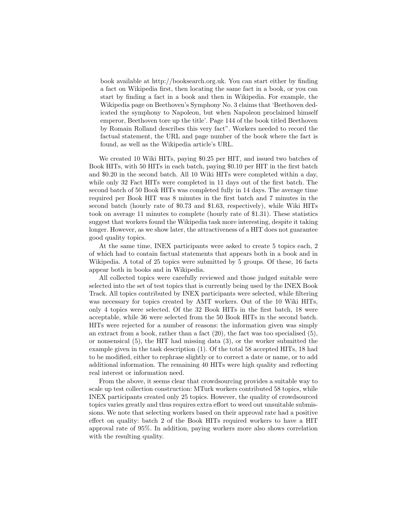book available at http://booksearch.org.uk. You can start either by finding a fact on Wikipedia first, then locating the same fact in a book, or you can start by finding a fact in a book and then in Wikipedia. For example, the Wikipedia page on Beethoven's Symphony No. 3 claims that 'Beethoven dedicated the symphony to Napoleon, but when Napoleon proclaimed himself emperor, Beethoven tore up the title'. Page 144 of the book titled Beethoven by Romain Rolland describes this very fact". Workers needed to record the factual statement, the URL and page number of the book where the fact is found, as well as the Wikipedia article's URL.

We created 10 Wiki HITs, paying \$0.25 per HIT, and issued two batches of Book HITs, with 50 HITs in each batch, paying \$0.10 per HIT in the first batch and \$0.20 in the second batch. All 10 Wiki HITs were completed within a day, while only 32 Fact HITs were completed in 11 days out of the first batch. The second batch of 50 Book HITs was completed fully in 14 days. The average time required per Book HIT was 8 minutes in the first batch and 7 minutes in the second batch (hourly rate of \$0.73 and \$1.63, respectively), while Wiki HITs took on average 11 minutes to complete (hourly rate of \$1.31). These statistics suggest that workers found the Wikipedia task more interesting, despite it taking longer. However, as we show later, the attractiveness of a HIT does not guarantee good quality topics.

At the same time, INEX participants were asked to create 5 topics each, 2 of which had to contain factual statements that appears both in a book and in Wikipedia. A total of 25 topics were submitted by 5 groups. Of these, 16 facts appear both in books and in Wikipedia.

All collected topics were carefully reviewed and those judged suitable were selected into the set of test topics that is currently being used by the INEX Book Track. All topics contributed by INEX participants were selected, while filtering was necessary for topics created by AMT workers. Out of the 10 Wiki HITs, only 4 topics were selected. Of the 32 Book HITs in the first batch, 18 were acceptable, while 36 were selected from the 50 Book HITs in the second batch. HITs were rejected for a number of reasons: the information given was simply an extract from a book, rather than a fact  $(20)$ , the fact was too specialised  $(5)$ , or nonsensical (5), the HIT had missing data (3), or the worker submitted the example given in the task description (1). Of the total 58 accepted HITs, 18 had to be modified, either to rephrase slightly or to correct a date or name, or to add additional information. The remaining 40 HITs were high quality and reflecting real interest or information need.

From the above, it seems clear that crowdsourcing provides a suitable way to scale up test collection construction: MTurk workers contributed 58 topics, while INEX participants created only 25 topics. However, the quality of crowdsourced topics varies greatly and thus requires extra effort to weed out unsuitable submissions. We note that selecting workers based on their approval rate had a positive effect on quality: batch 2 of the Book HITs required workers to have a HIT approval rate of 95%. In addition, paying workers more also shows correlation with the resulting quality.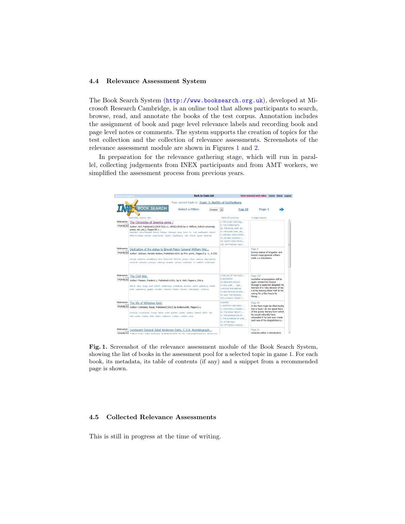#### 4.4 Relevance Assessment System

The Book Search System (<http://www.booksearch.org.uk>), developed at Microsoft Research Cambridge, is an online tool that allows participants to search, browse, read, and annotate the books of the test corpus. Annotation includes the assignment of book and page level relevance labels and recording book and page level notes or comments. The system supports the creation of topics for the test collection and the collection of relevance assessments. Screenshots of the relevance assessment module are shown in Figures [1](#page-6-0) and [2.](#page-7-1)

In preparation for the relevance gathering stage, which will run in parallel, collecting judgements from INEX participants and from AMT workers, we simplified the assessment process from previous years.



<span id="page-6-0"></span>Fig. 1. Screenshot of the relevance assessment module of the Book Search System, showing the list of books in the assessment pool for a selected topic in game 1. For each book, its metadata, its table of contents (if any) and a snippet from a recommended page is shown.

#### 4.5 Collected Relevance Assessments

This is still in progress at the time of writing.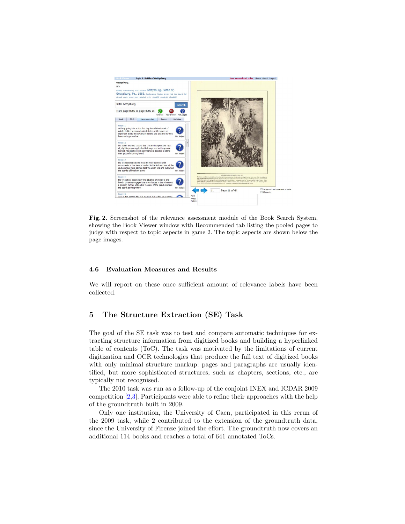

Fig. 2. Screenshot of the relevance assessment module of the Book Search System, showing the Book Viewer window with Recommended tab listing the pooled pages to judge with respect to topic aspects in game 2. The topic aspects are shown below the page images.

## <span id="page-7-1"></span>4.6 Evaluation Measures and Results

We will report on these once sufficient amount of relevance labels have been collected.

## <span id="page-7-0"></span>5 The Structure Extraction (SE) Task

The goal of the SE task was to test and compare automatic techniques for extracting structure information from digitized books and building a hyperlinked table of contents (ToC). The task was motivated by the limitations of current digitization and OCR technologies that produce the full text of digitized books with only minimal structure markup: pages and paragraphs are usually identified, but more sophisticated structures, such as chapters, sections, etc., are typically not recognised.

The 2010 task was run as a follow-up of the conjoint INEX and ICDAR 2009 competition [\[2,](#page-10-2)[3\]](#page-10-3). Participants were able to refine their approaches with the help of the groundtruth built in 2009.

Only one institution, the University of Caen, participated in this rerun of the 2009 task, while 2 contributed to the extension of the groundtruth data, since the University of Firenze joined the effort. The groundtruth now covers an additional 114 books and reaches a total of 641 annotated ToCs.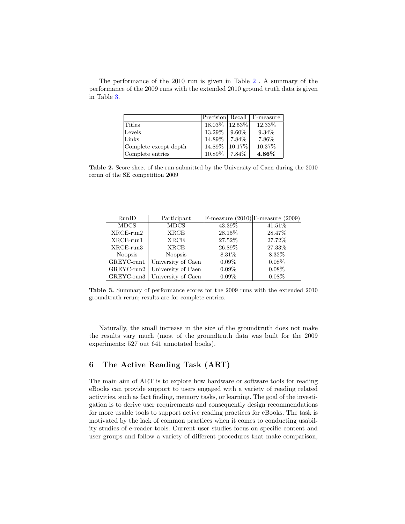The performance of the 2010 run is given in Table [2](#page-8-1) . A summary of the performance of the 2009 runs with the extended 2010 ground truth data is given in Table [3.](#page-8-2)

|                       |                      |           | Precision Recall F-measure |
|-----------------------|----------------------|-----------|----------------------------|
| <b>Titles</b>         | 18.03\%   12.53\%    |           | 12.33%                     |
| Levels                | $13.29\%$   $9.60\%$ |           | $9.34\%$                   |
| Links                 | $14.89\%$            | $17.84\%$ | 7.86\%                     |
| Complete except depth | 14.89% 10.17%        |           | 10.37%                     |
| Complete entries      | $10.89\%$   $7.84\%$ |           | 4.86%                      |

<span id="page-8-1"></span>Table 2. Score sheet of the run submitted by the University of Caen during the 2010 rerun of the SE competition 2009

| RunID           | Participant        | $ F$ -measure $(2010)$ F-measure $(2009)$ |          |
|-----------------|--------------------|-------------------------------------------|----------|
| <b>MDCS</b>     | <b>MDCS</b>        | 43.39%                                    | 41.51%   |
| $XRCE$ -run $2$ | XRCE               | 28.15%                                    | 28.47\%  |
| $XRCE$ -run $1$ | <b>XRCE</b>        | 27.52%                                    | 27.72%   |
| $XRCE$ -run $3$ | <b>XRCE</b>        | 26.89%                                    | 27.33%   |
| <b>Noopsis</b>  | <b>Noopsis</b>     | 8.31%                                     | 8.32%    |
| GREYC-run1      | University of Caen | $0.09\%$                                  | $0.08\%$ |
| GREYC-run2      | University of Caen | $0.09\%$                                  | $0.08\%$ |
| GREYC-run3      | University of Caen | $0.09\%$                                  | $0.08\%$ |

<span id="page-8-2"></span>Table 3. Summary of performance scores for the 2009 runs with the extended 2010 groundtruth-rerun; results are for complete entries.

Naturally, the small increase in the size of the groundtruth does not make the results vary much (most of the groundtruth data was built for the 2009 experiments: 527 out 641 annotated books).

## <span id="page-8-0"></span>6 The Active Reading Task (ART)

The main aim of ART is to explore how hardware or software tools for reading eBooks can provide support to users engaged with a variety of reading related activities, such as fact finding, memory tasks, or learning. The goal of the investigation is to derive user requirements and consequently design recommendations for more usable tools to support active reading practices for eBooks. The task is motivated by the lack of common practices when it comes to conducting usability studies of e-reader tools. Current user studies focus on specific content and user groups and follow a variety of different procedures that make comparison,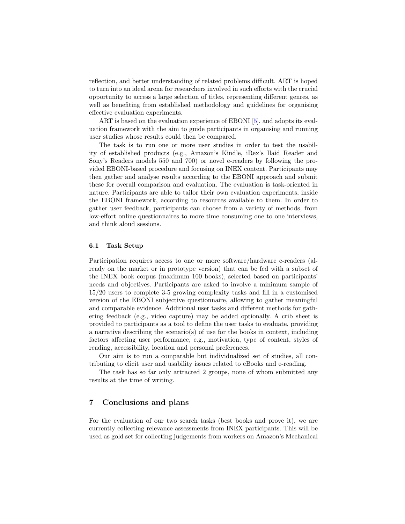reflection, and better understanding of related problems difficult. ART is hoped to turn into an ideal arena for researchers involved in such efforts with the crucial opportunity to access a large selection of titles, representing different genres, as well as benefiting from established methodology and guidelines for organising effective evaluation experiments.

ART is based on the evaluation experience of EBONI [\[5\]](#page-10-4), and adopts its evaluation framework with the aim to guide participants in organising and running user studies whose results could then be compared.

The task is to run one or more user studies in order to test the usability of established products (e.g., Amazon's Kindle, iRex's Ilaid Reader and Sony's Readers models 550 and 700) or novel e-readers by following the provided EBONI-based procedure and focusing on INEX content. Participants may then gather and analyse results according to the EBONI approach and submit these for overall comparison and evaluation. The evaluation is task-oriented in nature. Participants are able to tailor their own evaluation experiments, inside the EBONI framework, according to resources available to them. In order to gather user feedback, participants can choose from a variety of methods, from low-effort online questionnaires to more time consuming one to one interviews, and think aloud sessions.

#### 6.1 Task Setup

Participation requires access to one or more software/hardware e-readers (already on the market or in prototype version) that can be fed with a subset of the INEX book corpus (maximum 100 books), selected based on participants' needs and objectives. Participants are asked to involve a minimum sample of 15/20 users to complete 3-5 growing complexity tasks and fill in a customised version of the EBONI subjective questionnaire, allowing to gather meaningful and comparable evidence. Additional user tasks and different methods for gathering feedback (e.g., video capture) may be added optionally. A crib sheet is provided to participants as a tool to define the user tasks to evaluate, providing a narrative describing the scenario(s) of use for the books in context, including factors affecting user performance, e.g., motivation, type of content, styles of reading, accessibility, location and personal preferences.

Our aim is to run a comparable but individualized set of studies, all contributing to elicit user and usability issues related to eBooks and e-reading.

The task has so far only attracted 2 groups, none of whom submitted any results at the time of writing.

## <span id="page-9-0"></span>7 Conclusions and plans

For the evaluation of our two search tasks (best books and prove it), we are currently collecting relevance assessments from INEX participants. This will be used as gold set for collecting judgements from workers on Amazon's Mechanical